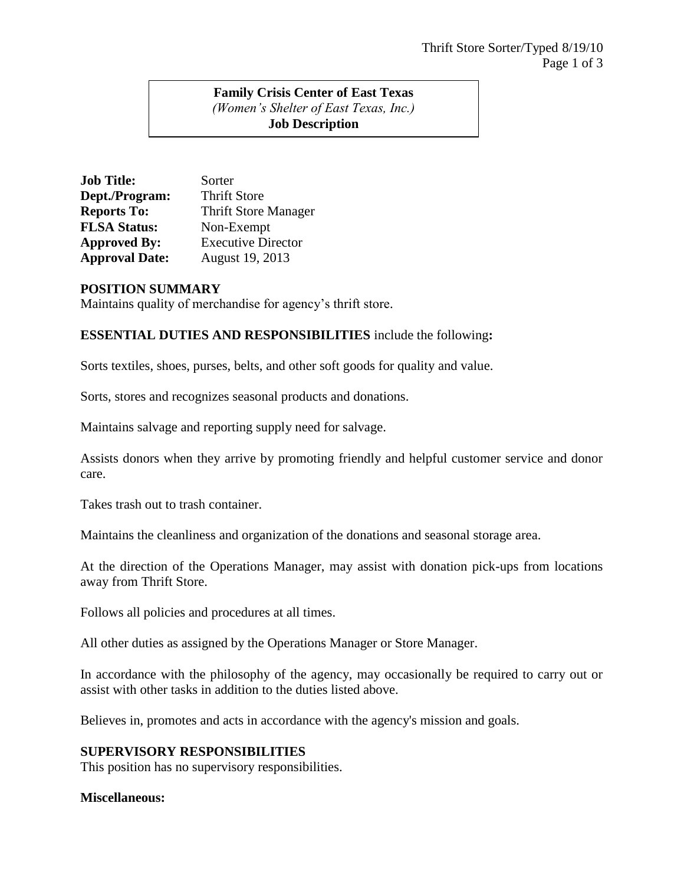## **Family Crisis Center of East Texas** *(Women's Shelter of East Texas, Inc.)* **Job Description**

| <b>Job Title:</b>     | Sorter                      |
|-----------------------|-----------------------------|
| Dept./Program:        | <b>Thrift Store</b>         |
| <b>Reports To:</b>    | <b>Thrift Store Manager</b> |
| <b>FLSA Status:</b>   | Non-Exempt                  |
| <b>Approved By:</b>   | <b>Executive Director</b>   |
| <b>Approval Date:</b> | August 19, 2013             |

### **POSITION SUMMARY**

Maintains quality of merchandise for agency's thrift store.

# **ESSENTIAL DUTIES AND RESPONSIBILITIES** include the following**:**

Sorts textiles, shoes, purses, belts, and other soft goods for quality and value.

Sorts, stores and recognizes seasonal products and donations.

Maintains salvage and reporting supply need for salvage.

Assists donors when they arrive by promoting friendly and helpful customer service and donor care.

Takes trash out to trash container.

Maintains the cleanliness and organization of the donations and seasonal storage area.

At the direction of the Operations Manager, may assist with donation pick-ups from locations away from Thrift Store.

Follows all policies and procedures at all times.

All other duties as assigned by the Operations Manager or Store Manager.

In accordance with the philosophy of the agency, may occasionally be required to carry out or assist with other tasks in addition to the duties listed above.

Believes in, promotes and acts in accordance with the agency's mission and goals.

# **SUPERVISORY RESPONSIBILITIES**

This position has no supervisory responsibilities.

#### **Miscellaneous:**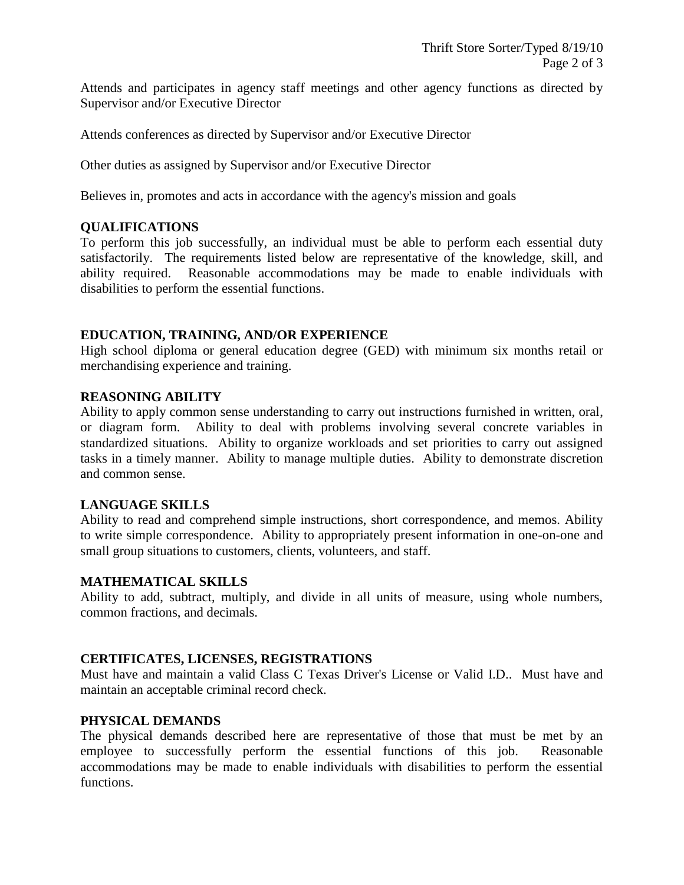Attends and participates in agency staff meetings and other agency functions as directed by Supervisor and/or Executive Director

Attends conferences as directed by Supervisor and/or Executive Director

Other duties as assigned by Supervisor and/or Executive Director

Believes in, promotes and acts in accordance with the agency's mission and goals

# **QUALIFICATIONS**

To perform this job successfully, an individual must be able to perform each essential duty satisfactorily. The requirements listed below are representative of the knowledge, skill, and ability required. Reasonable accommodations may be made to enable individuals with disabilities to perform the essential functions.

### **EDUCATION, TRAINING, AND/OR EXPERIENCE**

High school diploma or general education degree (GED) with minimum six months retail or merchandising experience and training.

## **REASONING ABILITY**

Ability to apply common sense understanding to carry out instructions furnished in written, oral, or diagram form. Ability to deal with problems involving several concrete variables in standardized situations. Ability to organize workloads and set priorities to carry out assigned tasks in a timely manner. Ability to manage multiple duties. Ability to demonstrate discretion and common sense.

### **LANGUAGE SKILLS**

Ability to read and comprehend simple instructions, short correspondence, and memos. Ability to write simple correspondence. Ability to appropriately present information in one-on-one and small group situations to customers, clients, volunteers, and staff.

### **MATHEMATICAL SKILLS**

Ability to add, subtract, multiply, and divide in all units of measure, using whole numbers, common fractions, and decimals.

### **CERTIFICATES, LICENSES, REGISTRATIONS**

Must have and maintain a valid Class C Texas Driver's License or Valid I.D.. Must have and maintain an acceptable criminal record check.

### **PHYSICAL DEMANDS**

The physical demands described here are representative of those that must be met by an employee to successfully perform the essential functions of this job. Reasonable accommodations may be made to enable individuals with disabilities to perform the essential functions.